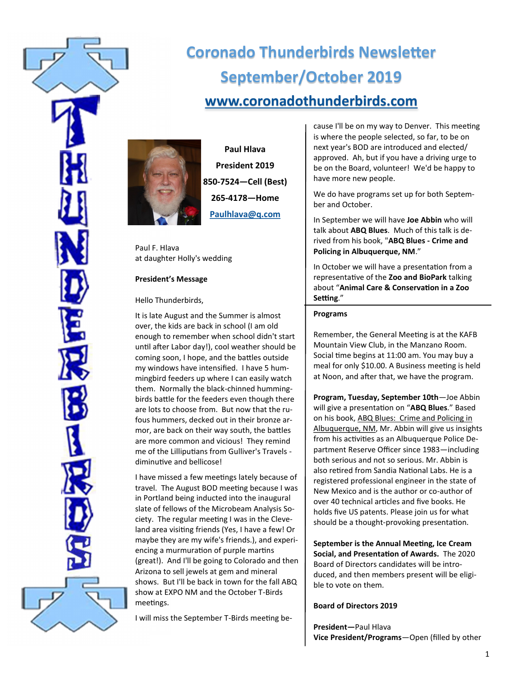

# **Coronado Thunderbirds Newsletter September/October 2019 [www.coronadothunderbirds.com](http://www.coronadothunderbirds.com)**



**Paul Hlava President 2019 850-7524—Cell (Best) 265-4178—Home Paulhlava@q.com**

Paul F. Hlava at daughter Holly's wedding

## **President's Message**

Hello Thunderbirds,

It is late August and the Summer is almost over, the kids are back in school (I am old enough to remember when school didn't start until after Labor day!), cool weather should be coming soon, I hope, and the battles outside my windows have intensified. I have 5 hummingbird feeders up where I can easily watch them. Normally the black-chinned hummingbirds battle for the feeders even though there are lots to choose from. But now that the rufous hummers, decked out in their bronze armor, are back on their way south, the battles are more common and vicious! They remind me of the Lilliputians from Gulliver's Travels diminutive and bellicose!

I have missed a few meetings lately because of travel. The August BOD meeting because I was in Portland being inducted into the inaugural slate of fellows of the Microbeam Analysis Society. The regular meeting I was in the Cleveland area visiting friends (Yes, I have a few! Or maybe they are my wife's friends.), and experiencing a murmuration of purple martins (great!). And I'll be going to Colorado and then Arizona to sell jewels at gem and mineral shows. But I'll be back in town for the fall ABQ show at EXPO NM and the October T-Birds meetings.

I will miss the September T-Birds meeting be-

cause I'll be on my way to Denver. This meeting is where the people selected, so far, to be on next year's BOD are introduced and elected/ approved. Ah, but if you have a driving urge to be on the Board, volunteer! We'd be happy to have more new people.

We do have programs set up for both September and October.

In September we will have **Joe Abbin** who will talk about **ABQ Blues**. Much of this talk is derived from his book, "**ABQ Blues - Crime and Policing in Albuquerque, NM**."

In October we will have a presentation from a representative of the **Zoo and BioPark** talking about "**Animal Care & Conservation in a Zoo Setting**."

#### **Programs**

Remember, the General Meeting is at the KAFB Mountain View Club, in the Manzano Room. Social time begins at 11:00 am. You may buy a meal for only \$10.00. A Business meeting is held at Noon, and after that, we have the program.

**Program, Tuesday, September 10th**—Joe Abbin will give a presentation on "**ABQ Blues**." Based on his book, ABQ Blues: Crime and Policing in Albuquerque, NM, Mr. Abbin will give us insights from his activities as an Albuquerque Police Department Reserve Officer since 1983—including both serious and not so serious. Mr. Abbin is also retired from Sandia National Labs. He is a registered professional engineer in the state of New Mexico and is the author or co-author of over 40 technical articles and five books. He holds five US patents. Please join us for what should be a thought-provoking presentation.

**September is the Annual Meeting, Ice Cream Social, and Presentation of Awards.** The 2020 Board of Directors candidates will be introduced, and then members present will be eligible to vote on them.

## **Board of Directors 2019**

**President—**Paul Hlava **Vice President/Programs**—Open (filled by other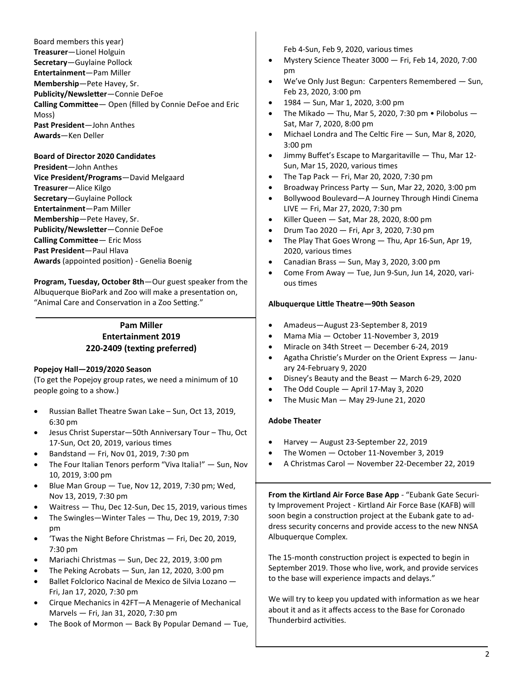Board members this year) **Treasurer**—Lionel Holguin **Secretary**—Guylaine Pollock **Entertainment**—Pam Miller **Membership**—Pete Havey, Sr. **Publicity/Newsletter**—Connie DeFoe **Calling Committee**— Open (filled by Connie DeFoe and Eric Moss) **Past President**—John Anthes **Awards**—Ken Deller

#### **Board of Director 2020 Candidates**

**President**—John Anthes **Vice President/Programs**—David Melgaard **Treasurer**—Alice Kilgo **Secretary**—Guylaine Pollock **Entertainment**—Pam Miller **Membership**—Pete Havey, Sr. **Publicity/Newsletter**—Connie DeFoe **Calling Committee**— Eric Moss **Past President**—Paul Hlava **Awards** (appointed position) - Genelia Boenig

**Program, Tuesday, October 8th**—Our guest speaker from the Albuquerque BioPark and Zoo will make a presentation on, "Animal Care and Conservation in a Zoo Setting."

## **Pam Miller Entertainment 2019 220-2409 (texting preferred)**

#### **Popejoy Hall—2019/2020 Season**

(To get the Popejoy group rates, we need a minimum of 10 people going to a show.)

- Russian Ballet Theatre Swan Lake Sun, Oct 13, 2019, 6:30 pm
- Jesus Christ Superstar—50th Anniversary Tour Thu, Oct 17-Sun, Oct 20, 2019, various times
- Bandstand Fri, Nov 01, 2019, 7:30 pm
- The Four Italian Tenors perform "Viva Italia!" Sun, Nov 10, 2019, 3:00 pm
- Blue Man Group Tue, Nov 12, 2019, 7:30 pm; Wed, Nov 13, 2019, 7:30 pm
- Waitress Thu, Dec 12-Sun, Dec 15, 2019, various times
- The Swingles—Winter Tales Thu, Dec 19, 2019, 7:30 pm
- 'Twas the Night Before Christmas Fri, Dec 20, 2019, 7:30 pm
- Mariachi Christmas Sun, Dec 22, 2019, 3:00 pm
- The Peking Acrobats  $-$  Sun, Jan 12, 2020, 3:00 pm
- Ballet Folclorico Nacinal de Mexico de Silvia Lozano Fri, Jan 17, 2020, 7:30 pm
- Cirque Mechanics in 42FT—A Menagerie of Mechanical Marvels — Fri, Jan 31, 2020, 7:30 pm
- The Book of Mormon  $-$  Back By Popular Demand  $-$  Tue,

Feb 4-Sun, Feb 9, 2020, various times

- Mystery Science Theater 3000 Fri, Feb 14, 2020, 7:00 pm
- We've Only Just Begun: Carpenters Remembered Sun, Feb 23, 2020, 3:00 pm
- 1984 Sun, Mar 1, 2020, 3:00 pm
- The Mikado  $-$  Thu, Mar 5, 2020, 7:30 pm  $\bullet$  Pilobolus  $-$ Sat, Mar 7, 2020, 8:00 pm
- Michael Londra and The Celtic Fire Sun, Mar 8, 2020, 3:00 pm
- Jimmy Buffet's Escape to Margaritaville Thu, Mar 12- Sun, Mar 15, 2020, various times
- The Tap Pack  $-$  Fri, Mar 20, 2020, 7:30 pm
- Broadway Princess Party Sun, Mar 22, 2020, 3:00 pm
- Bollywood Boulevard—A Journey Through Hindi Cinema LIVE — Fri, Mar 27, 2020, 7:30 pm
- Killer Queen Sat, Mar 28, 2020, 8:00 pm
- Drum Tao 2020 Fri, Apr 3, 2020, 7:30 pm
- The Play That Goes Wrong Thu, Apr 16-Sun, Apr 19, 2020, various times
- Canadian Brass Sun, May 3, 2020, 3:00 pm
- Come From Away Tue, Jun 9-Sun, Jun 14, 2020, various times

#### **Albuquerque Little Theatre—90th Season**

- Amadeus—August 23-September 8, 2019
- Mama Mia October 11-November 3, 2019
- Miracle on 34th Street December 6-24, 2019
- Agatha Christie's Murder on the Orient Express January 24-February 9, 2020
- Disney's Beauty and the Beast March 6-29, 2020
- The Odd Couple April 17-May 3, 2020
- The Music Man May 29-June 21, 2020

#### **Adobe Theater**

- Harvey August 23-September 22, 2019
- The Women October 11-November 3, 2019
- A Christmas Carol November 22-December 22, 2019

**From the Kirtland Air Force Base App** - "Eubank Gate Security Improvement Project - Kirtland Air Force Base (KAFB) will soon begin a construction project at the Eubank gate to address security concerns and provide access to the new NNSA Albuquerque Complex.

The 15-month construction project is expected to begin in September 2019. Those who live, work, and provide services to the base will experience impacts and delays."

We will try to keep you updated with information as we hear about it and as it affects access to the Base for Coronado Thunderbird activities.